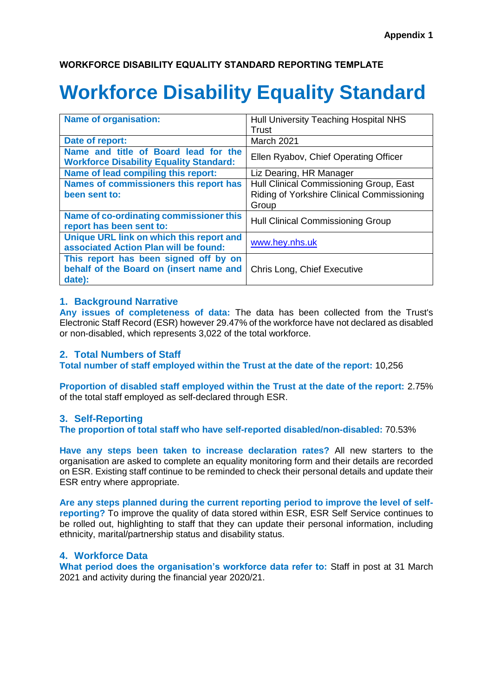## **WORKFORCE DISABILITY EQUALITY STANDARD REPORTING TEMPLATE**

# **Workforce Disability Equality Standard**

| <b>Name of organisation:</b>                                                      | Hull University Teaching Hospital NHS      |
|-----------------------------------------------------------------------------------|--------------------------------------------|
|                                                                                   | Trust                                      |
| Date of report:                                                                   | March 2021                                 |
| Name and title of Board lead for the                                              | Ellen Ryabov, Chief Operating Officer      |
| <b>Workforce Disability Equality Standard:</b>                                    |                                            |
| Name of lead compiling this report:                                               | Liz Dearing, HR Manager                    |
| Names of commissioners this report has                                            | Hull Clinical Commissioning Group, East    |
| been sent to:                                                                     | Riding of Yorkshire Clinical Commissioning |
|                                                                                   | Group                                      |
| Name of co-ordinating commissioner this                                           | Hull Clinical Commissioning Group          |
| report has been sent to:                                                          |                                            |
| Unique URL link on which this report and<br>associated Action Plan will be found: | www.hey.nhs.uk                             |
| This report has been signed off by on                                             |                                            |
| behalf of the Board on (insert name and                                           | Chris Long, Chief Executive                |
| date):                                                                            |                                            |

#### **1. Background Narrative**

**Any issues of completeness of data:** The data has been collected from the Trust's Electronic Staff Record (ESR) however 29.47% of the workforce have not declared as disabled or non-disabled, which represents 3,022 of the total workforce.

# **2. Total Numbers of Staff**

**Total number of staff employed within the Trust at the date of the report:** 10,256

**Proportion of disabled staff employed within the Trust at the date of the report:** 2.75% of the total staff employed as self-declared through ESR.

#### **3. Self-Reporting**

**The proportion of total staff who have self-reported disabled/non-disabled:** 70.53%

**Have any steps been taken to increase declaration rates?** All new starters to the organisation are asked to complete an equality monitoring form and their details are recorded on ESR. Existing staff continue to be reminded to check their personal details and update their ESR entry where appropriate.

**Are any steps planned during the current reporting period to improve the level of selfreporting?** To improve the quality of data stored within ESR, ESR Self Service continues to be rolled out, highlighting to staff that they can update their personal information, including ethnicity, marital/partnership status and disability status.

#### **4. Workforce Data**

**What period does the organisation's workforce data refer to:** Staff in post at 31 March 2021 and activity during the financial year 2020/21.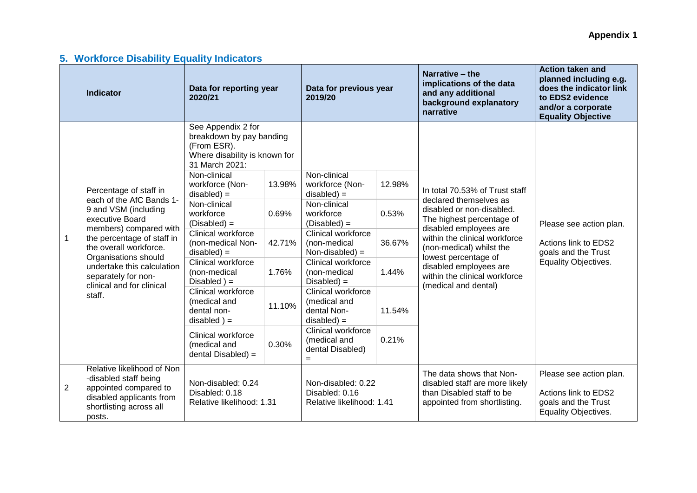# **5. Workforce Disability Equality Indicators**

|              | <b>Indicator</b>                                                                                                                                                                                                                                                                                    | Data for reporting year<br>2020/21                                                                                                                                                                                                                                                                                                                                                                                                                                        |                                                       | Data for previous year<br>2019/20                                                                                                                                                                                                                                                                                                                 |                                                       | Narrative – the<br>implications of the data<br>and any additional<br>background explanatory<br>narrative                                                                                                                                                                                                             | <b>Action taken and</b><br>planned including e.g.<br>does the indicator link<br>to EDS2 evidence<br>and/or a corporate<br><b>Equality Objective</b> |
|--------------|-----------------------------------------------------------------------------------------------------------------------------------------------------------------------------------------------------------------------------------------------------------------------------------------------------|---------------------------------------------------------------------------------------------------------------------------------------------------------------------------------------------------------------------------------------------------------------------------------------------------------------------------------------------------------------------------------------------------------------------------------------------------------------------------|-------------------------------------------------------|---------------------------------------------------------------------------------------------------------------------------------------------------------------------------------------------------------------------------------------------------------------------------------------------------------------------------------------------------|-------------------------------------------------------|----------------------------------------------------------------------------------------------------------------------------------------------------------------------------------------------------------------------------------------------------------------------------------------------------------------------|-----------------------------------------------------------------------------------------------------------------------------------------------------|
| $\mathbf{1}$ | Percentage of staff in<br>each of the AfC Bands 1-<br>9 and VSM (including<br>executive Board<br>members) compared with<br>the percentage of staff in<br>the overall workforce.<br>Organisations should<br>undertake this calculation<br>separately for non-<br>clinical and for clinical<br>staff. | See Appendix 2 for<br>breakdown by pay banding<br>(From ESR).<br>Where disability is known for<br>31 March 2021:<br>Non-clinical<br>workforce (Non-<br>$disabled$ =<br>Non-clinical<br>workforce<br>$(Disabeled) =$<br>Clinical workforce<br>(non-medical Non-<br>$disabled$ =<br>Clinical workforce<br>(non-medical<br>Disabled $) =$<br>Clinical workforce<br>(medical and<br>dental non-<br>$disabled$ ) =<br>Clinical workforce<br>(medical and<br>dental Disabled) = | 13.98%<br>0.69%<br>42.71%<br>1.76%<br>11.10%<br>0.30% | Non-clinical<br>workforce (Non-<br>$disabled$ =<br>Non-clinical<br>workforce<br>$(Disabeled) =$<br>Clinical workforce<br>(non-medical<br>Non-disabled) $=$<br>Clinical workforce<br>(non-medical<br>$Disable d) =$<br>Clinical workforce<br>(medical and<br>dental Non-<br>$disabled$ =<br>Clinical workforce<br>(medical and<br>dental Disabled) | 12.98%<br>0.53%<br>36.67%<br>1.44%<br>11.54%<br>0.21% | In total 70.53% of Trust staff<br>declared themselves as<br>disabled or non-disabled.<br>The highest percentage of<br>disabled employees are<br>within the clinical workforce<br>(non-medical) whilst the<br>lowest percentage of<br>disabled employees are<br>within the clinical workforce<br>(medical and dental) | Please see action plan.<br>Actions link to EDS2<br>goals and the Trust<br>Equality Objectives.                                                      |
| 2            | Relative likelihood of Non<br>-disabled staff being<br>appointed compared to<br>disabled applicants from<br>shortlisting across all<br>posts.                                                                                                                                                       | Non-disabled: 0.24<br>Disabled: 0.18<br>Relative likelihood: 1.31                                                                                                                                                                                                                                                                                                                                                                                                         |                                                       | $=$<br>Non-disabled: 0.22<br>Disabled: 0.16<br>Relative likelihood: 1.41                                                                                                                                                                                                                                                                          |                                                       | The data shows that Non-<br>disabled staff are more likely<br>than Disabled staff to be<br>appointed from shortlisting.                                                                                                                                                                                              | Please see action plan.<br>Actions link to EDS2<br>goals and the Trust<br><b>Equality Objectives.</b>                                               |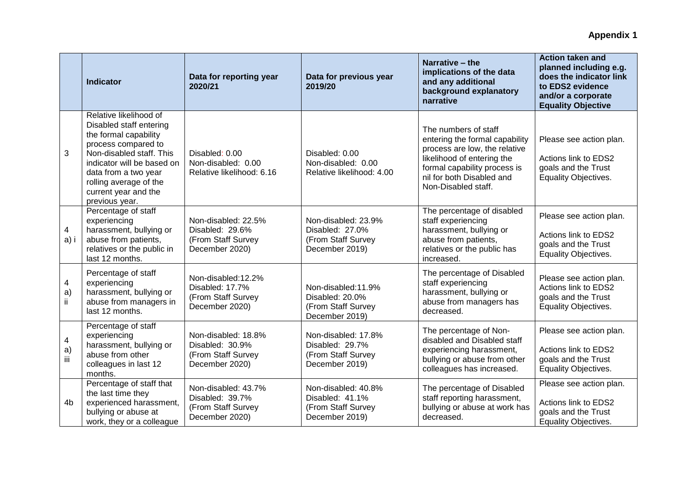|                                       | <b>Indicator</b>                                                                                                                                                                                                                                        | Data for reporting year<br>2020/21                                             | Data for previous year<br>2019/20                                              | Narrative - the<br>implications of the data<br>and any additional<br>background explanatory<br>narrative                                                                                                  | <b>Action taken and</b><br>planned including e.g.<br>does the indicator link<br>to EDS2 evidence<br>and/or a corporate<br><b>Equality Objective</b> |
|---------------------------------------|---------------------------------------------------------------------------------------------------------------------------------------------------------------------------------------------------------------------------------------------------------|--------------------------------------------------------------------------------|--------------------------------------------------------------------------------|-----------------------------------------------------------------------------------------------------------------------------------------------------------------------------------------------------------|-----------------------------------------------------------------------------------------------------------------------------------------------------|
| 3                                     | Relative likelihood of<br>Disabled staff entering<br>the formal capability<br>process compared to<br>Non-disabled staff. This<br>indicator will be based on<br>data from a two year<br>rolling average of the<br>current year and the<br>previous year. | Disabled: 0.00<br>Non-disabled: 0.00<br>Relative likelihood: 6.16              | Disabled: 0.00<br>Non-disabled: 0.00<br>Relative likelihood: 4.00              | The numbers of staff<br>entering the formal capability<br>process are low, the relative<br>likelihood of entering the<br>formal capability process is<br>nil for both Disabled and<br>Non-Disabled staff. | Please see action plan.<br>Actions link to EDS2<br>goals and the Trust<br>Equality Objectives.                                                      |
| 4<br>a) i                             | Percentage of staff<br>experiencing<br>harassment, bullying or<br>abuse from patients,<br>relatives or the public in<br>last 12 months.                                                                                                                 | Non-disabled: 22.5%<br>Disabled: 29.6%<br>(From Staff Survey<br>December 2020) | Non-disabled: 23.9%<br>Disabled: 27.0%<br>(From Staff Survey<br>December 2019) | The percentage of disabled<br>staff experiencing<br>harassment, bullying or<br>abuse from patients,<br>relatives or the public has<br>increased.                                                          | Please see action plan.<br>Actions link to EDS2<br>goals and the Trust<br><b>Equality Objectives.</b>                                               |
| $\overline{\mathcal{A}}$<br>a)<br>ij. | Percentage of staff<br>experiencing<br>harassment, bullying or<br>abuse from managers in<br>last 12 months.                                                                                                                                             | Non-disabled:12.2%<br>Disabled: 17.7%<br>(From Staff Survey<br>December 2020)  | Non-disabled:11.9%<br>Disabled: 20.0%<br>(From Staff Survey<br>December 2019)  | The percentage of Disabled<br>staff experiencing<br>harassment, bullying or<br>abuse from managers has<br>decreased.                                                                                      | Please see action plan.<br>Actions link to EDS2<br>goals and the Trust<br>Equality Objectives.                                                      |
| 4<br>a)<br>iii                        | Percentage of staff<br>experiencing<br>harassment, bullying or<br>abuse from other<br>colleagues in last 12<br>months.                                                                                                                                  | Non-disabled: 18.8%<br>Disabled: 30.9%<br>(From Staff Survey<br>December 2020) | Non-disabled: 17.8%<br>Disabled: 29.7%<br>(From Staff Survey<br>December 2019) | The percentage of Non-<br>disabled and Disabled staff<br>experiencing harassment,<br>bullying or abuse from other<br>colleagues has increased.                                                            | Please see action plan.<br>Actions link to EDS2<br>goals and the Trust<br><b>Equality Objectives.</b>                                               |
| 4 <sub>b</sub>                        | Percentage of staff that<br>the last time they<br>experienced harassment,<br>bullying or abuse at<br>work, they or a colleague                                                                                                                          | Non-disabled: 43.7%<br>Disabled: 39.7%<br>(From Staff Survey<br>December 2020) | Non-disabled: 40.8%<br>Disabled: 41.1%<br>(From Staff Survey<br>December 2019) | The percentage of Disabled<br>staff reporting harassment,<br>bullying or abuse at work has<br>decreased.                                                                                                  | Please see action plan.<br>Actions link to EDS2<br>goals and the Trust<br><b>Equality Objectives.</b>                                               |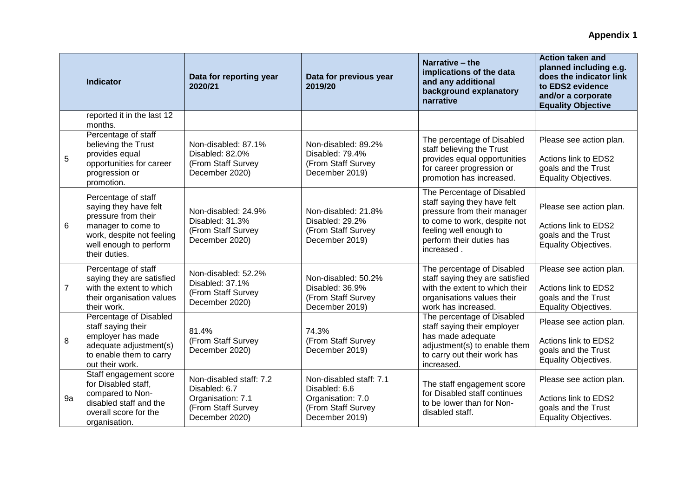|                | <b>Indicator</b>                                                                                                                                                  | Data for reporting year<br>2020/21                                                                    | Data for previous year<br>2019/20                                                                     | Narrative - the<br>implications of the data<br>and any additional<br>background explanatory<br>narrative                                                                                     | <b>Action taken and</b><br>planned including e.g.<br>does the indicator link<br>to EDS2 evidence<br>and/or a corporate<br><b>Equality Objective</b> |
|----------------|-------------------------------------------------------------------------------------------------------------------------------------------------------------------|-------------------------------------------------------------------------------------------------------|-------------------------------------------------------------------------------------------------------|----------------------------------------------------------------------------------------------------------------------------------------------------------------------------------------------|-----------------------------------------------------------------------------------------------------------------------------------------------------|
|                | reported it in the last 12<br>months.                                                                                                                             |                                                                                                       |                                                                                                       |                                                                                                                                                                                              |                                                                                                                                                     |
| 5              | Percentage of staff<br>believing the Trust<br>provides equal<br>opportunities for career<br>progression or<br>promotion.                                          | Non-disabled: 87.1%<br>Disabled: 82.0%<br>(From Staff Survey<br>December 2020)                        | Non-disabled: 89.2%<br>Disabled: 79.4%<br>(From Staff Survey<br>December 2019)                        | The percentage of Disabled<br>staff believing the Trust<br>provides equal opportunities<br>for career progression or<br>promotion has increased.                                             | Please see action plan.<br>Actions link to EDS2<br>goals and the Trust<br>Equality Objectives.                                                      |
| 6              | Percentage of staff<br>saying they have felt<br>pressure from their<br>manager to come to<br>work, despite not feeling<br>well enough to perform<br>their duties. | Non-disabled: 24.9%<br>Disabled: 31.3%<br>(From Staff Survey<br>December 2020)                        | Non-disabled: 21.8%<br>Disabled: 29.2%<br>(From Staff Survey<br>December 2019)                        | The Percentage of Disabled<br>staff saying they have felt<br>pressure from their manager<br>to come to work, despite not<br>feeling well enough to<br>perform their duties has<br>increased. | Please see action plan.<br>Actions link to EDS2<br>goals and the Trust<br>Equality Objectives.                                                      |
| $\overline{7}$ | Percentage of staff<br>saying they are satisfied<br>with the extent to which<br>their organisation values<br>their work.                                          | Non-disabled: 52.2%<br>Disabled: 37.1%<br>(From Staff Survey<br>December 2020)                        | Non-disabled: 50.2%<br>Disabled: 36.9%<br>(From Staff Survey<br>December 2019)                        | The percentage of Disabled<br>staff saying they are satisfied<br>with the extent to which their<br>organisations values their<br>work has increased.                                         | Please see action plan.<br>Actions link to EDS2<br>goals and the Trust<br>Equality Objectives.                                                      |
| 8              | Percentage of Disabled<br>staff saying their<br>employer has made<br>adequate adjustment(s)<br>to enable them to carry<br>out their work.                         | 81.4%<br>(From Staff Survey<br>December 2020)                                                         | 74.3%<br>(From Staff Survey<br>December 2019)                                                         | The percentage of Disabled<br>staff saying their employer<br>has made adequate<br>adjustment(s) to enable them<br>to carry out their work has<br>increased.                                  | Please see action plan.<br>Actions link to EDS2<br>goals and the Trust<br>Equality Objectives.                                                      |
| 9a             | Staff engagement score<br>for Disabled staff,<br>compared to Non-<br>disabled staff and the<br>overall score for the<br>organisation.                             | Non-disabled staff: 7.2<br>Disabled: 6.7<br>Organisation: 7.1<br>(From Staff Survey<br>December 2020) | Non-disabled staff: 7.1<br>Disabled: 6.6<br>Organisation: 7.0<br>(From Staff Survey<br>December 2019) | The staff engagement score<br>for Disabled staff continues<br>to be lower than for Non-<br>disabled staff.                                                                                   | Please see action plan.<br>Actions link to EDS2<br>goals and the Trust<br>Equality Objectives.                                                      |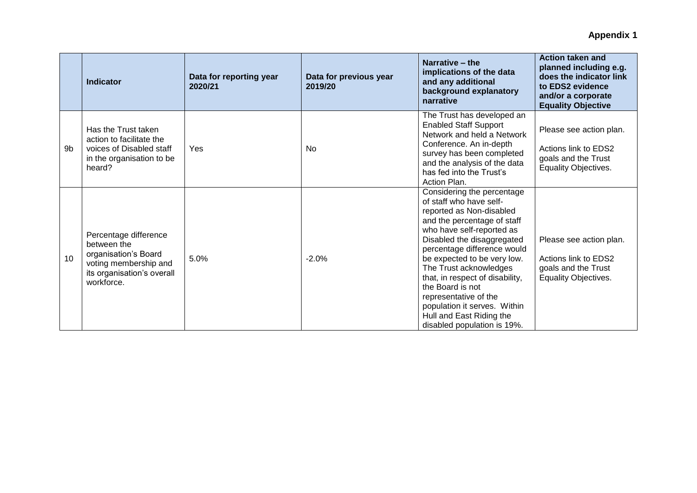|                | <b>Indicator</b>                                                                                                                  | Data for reporting year<br>2020/21 | Data for previous year<br>2019/20 | Narrative – the<br>implications of the data<br>and any additional<br>background explanatory<br>narrative                                                                                                                                                                                                                                                                                                                                       | Action taken and<br>planned including e.g.<br>does the indicator link<br>to EDS2 evidence<br>and/or a corporate<br><b>Equality Objective</b> |
|----------------|-----------------------------------------------------------------------------------------------------------------------------------|------------------------------------|-----------------------------------|------------------------------------------------------------------------------------------------------------------------------------------------------------------------------------------------------------------------------------------------------------------------------------------------------------------------------------------------------------------------------------------------------------------------------------------------|----------------------------------------------------------------------------------------------------------------------------------------------|
| 9 <sub>b</sub> | Has the Trust taken<br>action to facilitate the<br>voices of Disabled staff<br>in the organisation to be<br>heard?                | Yes                                | N <sub>0</sub>                    | The Trust has developed an<br><b>Enabled Staff Support</b><br>Network and held a Network<br>Conference. An in-depth<br>survey has been completed<br>and the analysis of the data<br>has fed into the Trust's<br>Action Plan.                                                                                                                                                                                                                   | Please see action plan.<br>Actions link to EDS2<br>goals and the Trust<br><b>Equality Objectives.</b>                                        |
| 10             | Percentage difference<br>between the<br>organisation's Board<br>voting membership and<br>its organisation's overall<br>workforce. | 5.0%                               | $-2.0%$                           | Considering the percentage<br>of staff who have self-<br>reported as Non-disabled<br>and the percentage of staff<br>who have self-reported as<br>Disabled the disaggregated<br>percentage difference would<br>be expected to be very low.<br>The Trust acknowledges<br>that, in respect of disability,<br>the Board is not<br>representative of the<br>population it serves. Within<br>Hull and East Riding the<br>disabled population is 19%. | Please see action plan.<br>Actions link to EDS2<br>goals and the Trust<br><b>Equality Objectives.</b>                                        |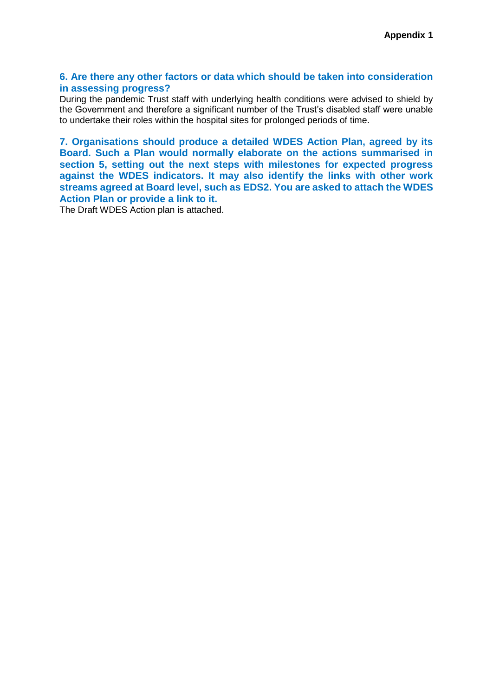#### **6. Are there any other factors or data which should be taken into consideration in assessing progress?**

During the pandemic Trust staff with underlying health conditions were advised to shield by the Government and therefore a significant number of the Trust's disabled staff were unable to undertake their roles within the hospital sites for prolonged periods of time.

**7. Organisations should produce a detailed WDES Action Plan, agreed by its Board. Such a Plan would normally elaborate on the actions summarised in section 5, setting out the next steps with milestones for expected progress against the WDES indicators. It may also identify the links with other work streams agreed at Board level, such as EDS2. You are asked to attach the WDES Action Plan or provide a link to it.**

The Draft WDES Action plan is attached.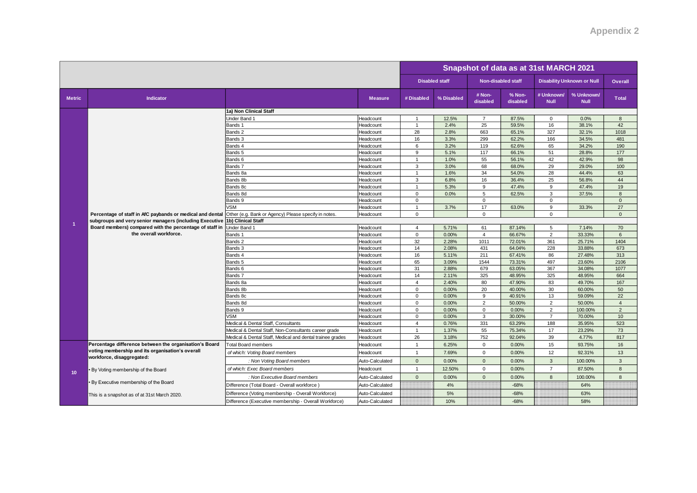|                 |                                                                                   |                                                                                         | Snapshot of data as at 31st MARCH 2021 |                                |                |                             |                    |                                  |                                   |                                    |
|-----------------|-----------------------------------------------------------------------------------|-----------------------------------------------------------------------------------------|----------------------------------------|--------------------------------|----------------|-----------------------------|--------------------|----------------------------------|-----------------------------------|------------------------------------|
|                 |                                                                                   |                                                                                         |                                        | <b>Disabled staff</b>          |                | <b>Non-disabled staff</b>   |                    |                                  | <b>Disability Unknown or Null</b> | Overall                            |
| <b>Metric</b>   | Indicator                                                                         |                                                                                         | <b>Measure</b>                         | # Disabled                     | % Disabled     | # Non-<br>disabled          | % Non-<br>disabled | # Unknown/<br><b>Null</b>        | % Unknown/<br><b>Null</b>         | <b>Total</b>                       |
|                 |                                                                                   | 1a) Non Clinical Staff                                                                  |                                        |                                |                |                             |                    |                                  |                                   |                                    |
|                 |                                                                                   | Under Band 1                                                                            | Headcount                              | $\overline{1}$                 | 12.5%          | $\overline{7}$              | 87.5%              | $\mathbf 0$                      | 0.0%                              | 8                                  |
|                 |                                                                                   | Bands 1                                                                                 | Headcount                              | $\mathbf{1}$                   | 2.4%           | 25                          | 59.5%              | 16                               | 38.1%                             | 42                                 |
|                 |                                                                                   | Bands 2                                                                                 | Headcount                              | 28                             | 2.8%           | 663                         | 65.1%              | 327                              | 32.1%                             | 1018                               |
|                 |                                                                                   | Bands 3                                                                                 | Headcount                              | 16                             | 3.3%           | 299                         | 62.2%              | 166                              | 34.5%                             | 481                                |
|                 |                                                                                   | Bands 4                                                                                 | Headcount                              | 6                              | 3.2%           | 119                         | 62.6%              | 65                               | 34.2%                             | 190                                |
|                 |                                                                                   | Bands 5                                                                                 | Headcount                              | 9                              | 5.1%           | 117                         | 66.1%              | 51                               | 28.8%                             | 177                                |
|                 |                                                                                   | Bands 6                                                                                 | Headcount                              | $\mathbf{1}$                   | 1.0%           | 55                          | 56.1%              | 42                               | 42.9%                             | 98                                 |
|                 |                                                                                   | Bands 7                                                                                 | Headcount                              | 3                              | 3.0%           | 68                          | 68.0%              | 29                               | 29.0%                             | 100                                |
|                 |                                                                                   | Bands 8a                                                                                | Headcount                              | $\mathbf{1}$                   | 1.6%           | 34                          | 54.0%              | 28                               | 44.4%                             | 63                                 |
|                 |                                                                                   | Bands 8b                                                                                | Headcount                              | 3                              | 6.8%           | 16                          | 36.4%              | 25                               | 56.8%                             | 44                                 |
|                 |                                                                                   | Bands 8c                                                                                | Headcount                              | $\overline{1}$                 | 5.3%           | 9                           | 47.4%              | 9                                | 47.4%                             | 19                                 |
|                 |                                                                                   | Bands 8d                                                                                | Headcount                              | $\mathbf 0$                    | 0.0%           | 5                           | 62.5%              | 3                                | 37.5%                             | 8                                  |
|                 |                                                                                   | Bands 9                                                                                 | Headcount                              | 0                              |                | $\mathbf 0$                 |                    | $\mathbf 0$                      |                                   | $\mathbf 0$                        |
|                 |                                                                                   | <b>VSM</b>                                                                              | Headcount                              | $\mathbf{1}$                   | 3.7%           | 17                          | 63.0%              | 9                                | 33.3%                             | 27                                 |
|                 | Percentage of staff in AfC paybands or medical and dental                         | Other (e.g. Bank or Agency) Please specify in notes.                                    | Headcount                              | $\mathbf 0$                    |                | $\mathbf{0}$                |                    | $\Omega$                         |                                   | $\mathbf{0}$                       |
| 1               | subgroups and very senior managers (including Executive                           | 1b) Clinical Staff                                                                      |                                        |                                |                |                             |                    |                                  |                                   |                                    |
|                 | Board members) compared with the percentage of staff in<br>the overall workforce. | Under Band 1                                                                            | Headcount                              | $\overline{4}$                 | 5.71%          | 61                          | 87.14%             | 5                                | 7.14%                             | 70                                 |
|                 |                                                                                   | Bands 1                                                                                 | Headcount                              | $\mathbf 0$                    | 0.00%          | $\overline{4}$              | 66.67%             | $\overline{2}$                   | 33.33%                            | 6                                  |
|                 |                                                                                   | Bands 2                                                                                 | Headcount                              | 32                             | 2.28%          | 1011                        | 72.01%             | 361                              | 25.71%                            | 1404                               |
|                 |                                                                                   | Bands 3                                                                                 | Headcount                              | 14                             | 2.08%          | 431                         | 64.04%             | 228                              | 33.88%                            | 673                                |
|                 |                                                                                   | Bands 4                                                                                 | Headcount                              | 16                             | 5.11%          | 211                         | 67.41%             | 86                               | 27.48%                            | 313                                |
|                 |                                                                                   | Bands 5                                                                                 | Headcount                              | 65                             | 3.09%          | 1544                        | 73.31%             | 497                              | 23.60%                            | 2106                               |
|                 |                                                                                   | Bands 6                                                                                 | Headcount                              | 31                             | 2.88%          | 679                         | 63.05%             | 367                              | 34.08%                            | 1077                               |
|                 |                                                                                   | Bands 7                                                                                 | Headcount                              | 14                             | 2.11%          | 325                         | 48.95%             | 325                              | 48.95%                            | 664                                |
|                 |                                                                                   | Bands 8a                                                                                | Headcount                              | $\overline{4}$                 | 2.40%          | 80                          | 47.90%             | 83                               | 49.70%                            | 167                                |
|                 |                                                                                   | Bands 8b                                                                                | Headcount                              | $\mathbf 0$                    | 0.00%          | 20                          | 40.00%             | 30                               | 60.00%                            | 50                                 |
|                 |                                                                                   | Bands 8c                                                                                | Headcount                              | 0                              | 0.00%          | 9                           | 40.91%             | 13                               | 59.09%                            | 22                                 |
|                 |                                                                                   | Bands 8d                                                                                | Headcount                              | $\mathbf{0}$                   | 0.00%          | 2                           | 50.00%             | 2                                | 50.00%                            | $\overline{4}$                     |
|                 |                                                                                   | Bands 9                                                                                 | Headcount                              | 0                              | 0.00%          | $\mathbf 0$<br>$\mathbf{3}$ | 0.00%              | $\overline{2}$<br>$\overline{7}$ | 100.00%                           | $\overline{2}$<br>10 <sup>10</sup> |
|                 |                                                                                   | <b>VSM</b>                                                                              | Headcount                              | $\mathbf 0$                    | 0.00%          |                             | 30.00%             |                                  | 70.00%                            |                                    |
|                 |                                                                                   | Medical & Dental Staff, Consultants                                                     | Headcount                              | $\overline{4}$<br>$\mathbf{1}$ | 0.76%<br>1.37% | 331<br>55                   | 63.29%<br>75.34%   | 188<br>17                        | 35.95%<br>23.29%                  | 523<br>73                          |
|                 |                                                                                   | Medical & Dental Staff, Non-Consultants career grade                                    | Headcount                              | 26                             | 3.18%          | 752                         | 92.04%             | 39                               | 4.77%                             | 817                                |
|                 | Percentage difference between the organisation's Board                            | Medical & Dental Staff, Medical and dental trainee grades<br><b>Total Board members</b> | Headcount<br>Headcount                 | $\mathbf{1}$                   | 6.25%          | $\mathbf 0$                 | 0.00%              | 15                               | 93.75%                            | 16                                 |
|                 | voting membership and its organisation's overall                                  | of which: Voting Board members                                                          | Headcount                              | $\overline{1}$                 | 7.69%          | $\mathbf 0$                 | 0.00%              | 12                               | 92.31%                            | 13                                 |
|                 | workforce, disaggregated:                                                         | : Non Voting Board members                                                              | Auto-Calculated                        | $\mathbf{0}$                   | 0.00%          | $\mathbf{0}$                | 0.00%              | 3                                | 100.00%                           | $\overline{3}$                     |
|                 | . By Voting membership of the Board                                               | of which: Exec Board members                                                            | Headcount                              | $\mathbf{1}$                   | 12.50%         | $\mathbf{0}$                | 0.00%              | $\overline{7}$                   | 87.50%                            | 8                                  |
| 10 <sup>°</sup> |                                                                                   | : Non Executive Board members                                                           | Auto-Calculated                        | $\mathbf{0}$                   | 0.00%          | $\mathbf{0}$                | 0.00%              | 8                                | 100.00%                           | $\mathbf{8}$                       |
|                 | . By Executive membership of the Board                                            | Difference (Total Board - Overall workforce)                                            | Auto-Calculated                        |                                | 4%             |                             | $-68%$             |                                  | 64%                               |                                    |
|                 | This is a snapshot as of at 31st March 2020.                                      | Difference (Voting membership - Overall Workforce)                                      | Auto-Calculated                        |                                | 5%             |                             | $-68%$             |                                  | 63%                               |                                    |
|                 |                                                                                   | Difference (Executive membership - Overall Workforce)                                   | Auto-Calculated                        |                                | 10%            |                             | $-68%$             |                                  | 58%                               |                                    |
|                 |                                                                                   |                                                                                         |                                        |                                |                |                             |                    |                                  |                                   |                                    |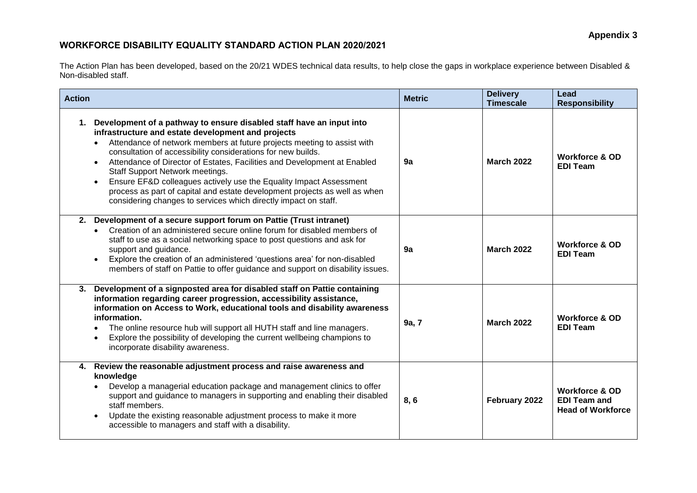# **WORKFORCE DISABILITY EQUALITY STANDARD ACTION PLAN 2020/2021**

The Action Plan has been developed, based on the 20/21 WDES technical data results, to help close the gaps in workplace experience between Disabled & Non-disabled staff.

| <b>Action</b>                                                                                                                                                                                                                                                                                                                                                                                                                                                                                                                                                                                                     | <b>Metric</b> | <b>Delivery</b><br><b>Timescale</b> | Lead<br><b>Responsibility</b>                                                |
|-------------------------------------------------------------------------------------------------------------------------------------------------------------------------------------------------------------------------------------------------------------------------------------------------------------------------------------------------------------------------------------------------------------------------------------------------------------------------------------------------------------------------------------------------------------------------------------------------------------------|---------------|-------------------------------------|------------------------------------------------------------------------------|
| Development of a pathway to ensure disabled staff have an input into<br>1.<br>infrastructure and estate development and projects<br>Attendance of network members at future projects meeting to assist with<br>consultation of accessibility considerations for new builds.<br>Attendance of Director of Estates, Facilities and Development at Enabled<br>Staff Support Network meetings.<br>Ensure EF&D colleagues actively use the Equality Impact Assessment<br>process as part of capital and estate development projects as well as when<br>considering changes to services which directly impact on staff. | 9a            | <b>March 2022</b>                   | <b>Workforce &amp; OD</b><br><b>EDI Team</b>                                 |
| 2. Development of a secure support forum on Pattie (Trust intranet)<br>Creation of an administered secure online forum for disabled members of<br>staff to use as a social networking space to post questions and ask for<br>support and guidance.<br>Explore the creation of an administered 'questions area' for non-disabled<br>members of staff on Pattie to offer guidance and support on disability issues.                                                                                                                                                                                                 | 9а            | <b>March 2022</b>                   | <b>Workforce &amp; OD</b><br><b>EDI Team</b>                                 |
| 3. Development of a signposted area for disabled staff on Pattie containing<br>information regarding career progression, accessibility assistance,<br>information on Access to Work, educational tools and disability awareness<br>information.<br>The online resource hub will support all HUTH staff and line managers.<br>Explore the possibility of developing the current wellbeing champions to<br>incorporate disability awareness.                                                                                                                                                                        | 9a, 7         | <b>March 2022</b>                   | <b>Workforce &amp; OD</b><br><b>EDI Team</b>                                 |
| 4. Review the reasonable adjustment process and raise awareness and<br>knowledge<br>Develop a managerial education package and management clinics to offer<br>support and guidance to managers in supporting and enabling their disabled<br>staff members.<br>Update the existing reasonable adjustment process to make it more<br>accessible to managers and staff with a disability.                                                                                                                                                                                                                            | 8, 6          | February 2022                       | <b>Workforce &amp; OD</b><br><b>EDI Team and</b><br><b>Head of Workforce</b> |